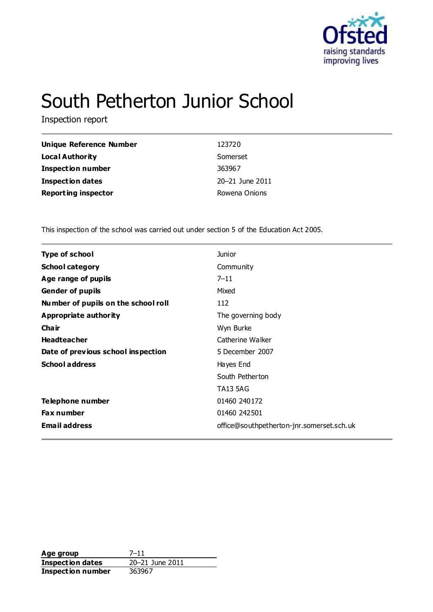

# South Petherton Junior School

Inspection report

| Unique Reference Number    | 123720          |
|----------------------------|-----------------|
| <b>Local Authority</b>     | Somerset        |
| <b>Inspection number</b>   | 363967          |
| <b>Inspection dates</b>    | 20-21 June 2011 |
| <b>Reporting inspector</b> | Rowena Onions   |

This inspection of the school was carried out under section 5 of the Education Act 2005.

| <b>Type of school</b>               | <b>Junior</b>                             |
|-------------------------------------|-------------------------------------------|
| <b>School category</b>              | Community                                 |
| Age range of pupils                 | $7 - 11$                                  |
| <b>Gender of pupils</b>             | Mixed                                     |
| Number of pupils on the school roll | 112                                       |
| Appropriate authority               | The governing body                        |
| Cha ir                              | Wyn Burke                                 |
| <b>Headteacher</b>                  | Catherine Walker                          |
| Date of previous school inspection  | 5 December 2007                           |
| <b>School address</b>               | Hayes End                                 |
|                                     | South Petherton                           |
|                                     | <b>TA13 5AG</b>                           |
| Telephone number                    | 01460 240172                              |
| <b>Fax number</b>                   | 01460 242501                              |
| <b>Email address</b>                | office@southpetherton-jnr.somerset.sch.uk |
|                                     |                                           |

**Age group** 7-11<br> **Inspection dates** 20-21 June 2011 **Inspection dates Inspection number** 363967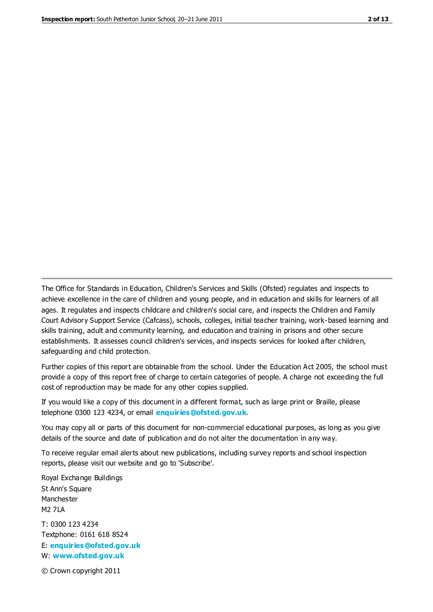The Office for Standards in Education, Children's Services and Skills (Ofsted) regulates and inspects to achieve excellence in the care of children and young people, and in education and skills for learners of all ages. It regulates and inspects childcare and children's social care, and inspects the Children and Family Court Advisory Support Service (Cafcass), schools, colleges, initial teacher training, work-based learning and skills training, adult and community learning, and education and training in prisons and other secure establishments. It assesses council children's services, and inspects services for looked after children, safeguarding and child protection.

Further copies of this report are obtainable from the school. Under the Education Act 2005, the school must provide a copy of this report free of charge to certain categories of people. A charge not exceeding the full cost of reproduction may be made for any other copies supplied.

If you would like a copy of this document in a different format, such as large print or Braille, please telephone 0300 123 4234, or email **[enquiries@ofsted.gov.uk](mailto:enquiries@ofsted.gov.uk)**.

You may copy all or parts of this document for non-commercial educational purposes, as long as you give details of the source and date of publication and do not alter the documentation in any way.

To receive regular email alerts about new publications, including survey reports and school inspection reports, please visit our website and go to 'Subscribe'.

Royal Exchange Buildings St Ann's Square Manchester M2 7LA T: 0300 123 4234 Textphone: 0161 618 8524 E: **[enquiries@ofsted.gov.uk](mailto:enquiries@ofsted.gov.uk)**

W: **[www.ofsted.gov.uk](http://www.ofsted.gov.uk/)**

© Crown copyright 2011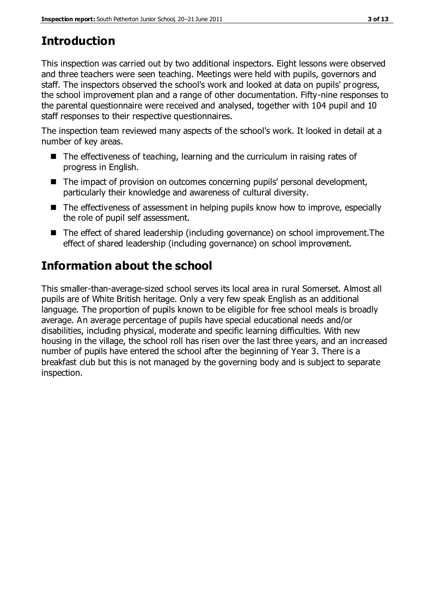# **Introduction**

This inspection was carried out by two additional inspectors. Eight lessons were observed and three teachers were seen teaching. Meetings were held with pupils, governors and staff. The inspectors observed the school's work and looked at data on pupils' progress, the school improvement plan and a range of other documentation. Fifty-nine responses to the parental questionnaire were received and analysed, together with 104 pupil and 10 staff responses to their respective questionnaires.

The inspection team reviewed many aspects of the school's work. It looked in detail at a number of key areas.

- The effectiveness of teaching, learning and the curriculum in raising rates of progress in English.
- The impact of provision on outcomes concerning pupils' personal development, particularly their knowledge and awareness of cultural diversity.
- The effectiveness of assessment in helping pupils know how to improve, especially the role of pupil self assessment.
- The effect of shared leadership (including governance) on school improvement. The effect of shared leadership (including governance) on school improvement.

# **Information about the school**

This smaller-than-average-sized school serves its local area in rural Somerset. Almost all pupils are of White British heritage. Only a very few speak English as an additional language. The proportion of pupils known to be eligible for free school meals is broadly average. An average percentage of pupils have special educational needs and/or disabilities, including physical, moderate and specific learning difficulties. With new housing in the village, the school roll has risen over the last three years, and an increased number of pupils have entered the school after the beginning of Year 3. There is a breakfast club but this is not managed by the governing body and is subject to separate inspection.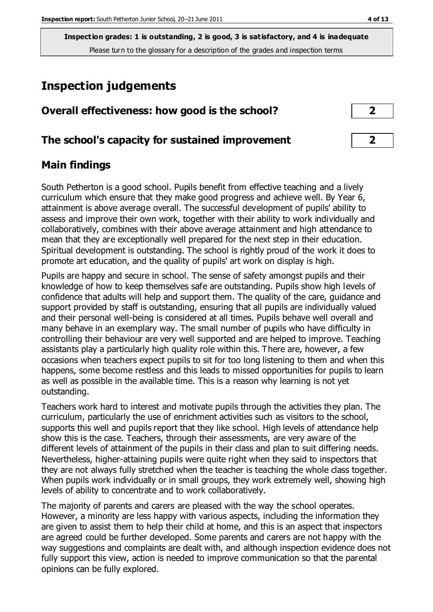# **Inspection judgements**

| Overall effectiveness: how good is the school? |  |
|------------------------------------------------|--|
|------------------------------------------------|--|

# **The school's capacity for sustained improvement 2**

## **Main findings**

South Petherton is a good school. Pupils benefit from effective teaching and a lively curriculum which ensure that they make good progress and achieve well. By Year 6, attainment is above average overall. The successful development of pupils' ability to assess and improve their own work, together with their ability to work individually and collaboratively, combines with their above average attainment and high attendance to mean that they are exceptionally well prepared for the next step in their education. Spiritual development is outstanding. The school is rightly proud of the work it does to promote art education, and the quality of pupils' art work on display is high.

Pupils are happy and secure in school. The sense of safety amongst pupils and their knowledge of how to keep themselves safe are outstanding. Pupils show high levels of confidence that adults will help and support them. The quality of the care, guidance and support provided by staff is outstanding, ensuring that all pupils are individually valued and their personal well-being is considered at all times. Pupils behave well overall and many behave in an exemplary way. The small number of pupils who have difficulty in controlling their behaviour are very well supported and are helped to improve. Teaching assistants play a particularly high quality role within this. There are, however, a few occasions when teachers expect pupils to sit for too long listening to them and when this happens, some become restless and this leads to missed opportunities for pupils to learn as well as possible in the available time. This is a reason why learning is not yet outstanding.

Teachers work hard to interest and motivate pupils through the activities they plan. The curriculum, particularly the use of enrichment activities such as visitors to the school, supports this well and pupils report that they like school. High levels of attendance help show this is the case. Teachers, through their assessments, are very aware of the different levels of attainment of the pupils in their class and plan to suit differing needs. Nevertheless, higher-attaining pupils were quite right when they said to inspectors that they are not always fully stretched when the teacher is teaching the whole class together. When pupils work individually or in small groups, they work extremely well, showing high levels of ability to concentrate and to work collaboratively.

The majority of parents and carers are pleased with the way the school operates. However, a minority are less happy with various aspects, including the information they are given to assist them to help their child at home, and this is an aspect that inspectors are agreed could be further developed. Some parents and carers are not happy with the way suggestions and complaints are dealt with, and although inspection evidence does not fully support this view, action is needed to improve communication so that the parental opinions can be fully explored.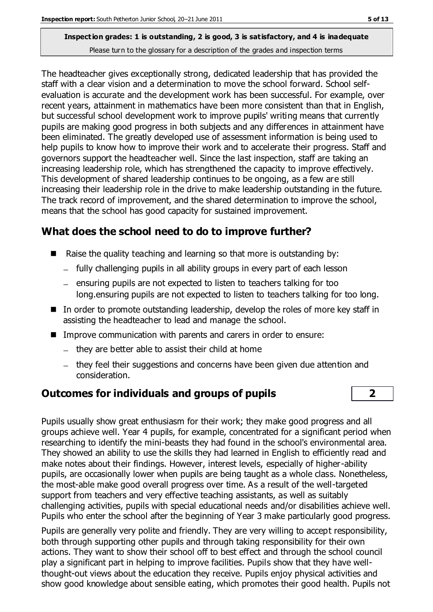The headteacher gives exceptionally strong, dedicated leadership that has provided the staff with a clear vision and a determination to move the school forward. School selfevaluation is accurate and the development work has been successful. For example, over recent years, attainment in mathematics have been more consistent than that in English, but successful school development work to improve pupils' writing means that currently pupils are making good progress in both subjects and any differences in attainment have been eliminated. The greatly developed use of assessment information is being used to help pupils to know how to improve their work and to accelerate their progress. Staff and governors support the headteacher well. Since the last inspection, staff are taking an increasing leadership role, which has strengthened the capacity to improve effectively. This development of shared leadership continues to be ongoing, as a few are still increasing their leadership role in the drive to make leadership outstanding in the future. The track record of improvement, and the shared determination to improve the school, means that the school has good capacity for sustained improvement.

# **What does the school need to do to improve further?**

- Raise the quality teaching and learning so that more is outstanding by:
	- fully challenging pupils in all ability groups in every part of each lesson
	- $-$  ensuring pupils are not expected to listen to teachers talking for too long.ensuring pupils are not expected to listen to teachers talking for too long.
- In order to promote outstanding leadership, develop the roles of more key staff in assisting the headteacher to lead and manage the school.
- **IMPROVE COMMUNICATION WITH PARATEST AND CATER IN ORDER IN THE IMAGE IN THE IMAGE I** 
	- $-$  they are better able to assist their child at home
	- they feel their suggestions and concerns have been given due attention and consideration.

# **Outcomes for individuals and groups of pupils 2**

Pupils usually show great enthusiasm for their work; they make good progress and all groups achieve well. Year 4 pupils, for example, concentrated for a significant period when researching to identify the mini-beasts they had found in the school's environmental area. They showed an ability to use the skills they had learned in English to efficiently read and make notes about their findings. However, interest levels, especially of higher-ability pupils, are occasionally lower when pupils are being taught as a whole class. Nonetheless, the most-able make good overall progress over time. As a result of the well-targeted support from teachers and very effective teaching assistants, as well as suitably challenging activities, pupils with special educational needs and/or disabilities achieve well. Pupils who enter the school after the beginning of Year 3 make particularly good progress.

Pupils are generally very polite and friendly. They are very willing to accept responsibility, both through supporting other pupils and through taking responsibility for their own actions. They want to show their school off to best effect and through the school council play a significant part in helping to improve facilities. Pupils show that they have wellthought-out views about the education they receive. Pupils enjoy physical activities and show good knowledge about sensible eating, which promotes their good health. Pupils not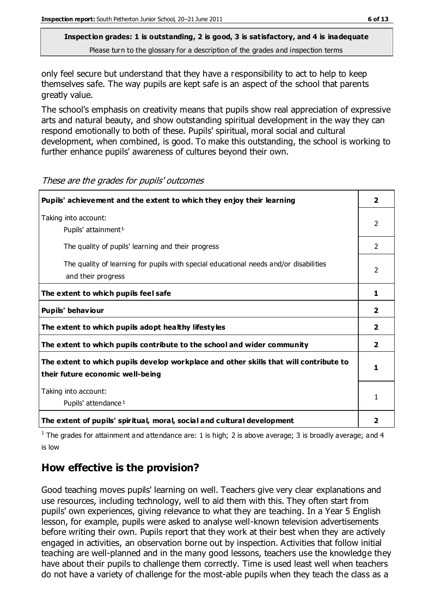only feel secure but understand that they have a responsibility to act to help to keep themselves safe. The way pupils are kept safe is an aspect of the school that parents greatly value.

The school's emphasis on creativity means that pupils show real appreciation of expressive arts and natural beauty, and show outstanding spiritual development in the way they can respond emotionally to both of these. Pupils' spiritual, moral social and cultural development, when combined, is good. To make this outstanding, the school is working to further enhance pupils' awareness of cultures beyond their own.

| Pupils' achievement and the extent to which they enjoy their learning                                                     | $\overline{2}$ |
|---------------------------------------------------------------------------------------------------------------------------|----------------|
| Taking into account:<br>Pupils' attainment <sup>1</sup>                                                                   | $\mathcal{P}$  |
| The quality of pupils' learning and their progress                                                                        | $\mathcal{P}$  |
| The quality of learning for pupils with special educational needs and/or disabilities<br>and their progress               |                |
| The extent to which pupils feel safe                                                                                      | 1              |
| Pupils' behaviour                                                                                                         | $\overline{2}$ |
| The extent to which pupils adopt healthy lifestyles                                                                       | 2              |
| The extent to which pupils contribute to the school and wider community                                                   | $\overline{2}$ |
| The extent to which pupils develop workplace and other skills that will contribute to<br>their future economic well-being |                |
| Taking into account:<br>Pupils' attendance <sup>1</sup>                                                                   |                |
| The extent of pupils' spiritual, moral, social and cultural development                                                   | 2              |

These are the grades for pupils' outcomes

<sup>1</sup> The grades for attainment and attendance are: 1 is high; 2 is above average; 3 is broadly average; and 4 is low

# **How effective is the provision?**

Good teaching moves pupils' learning on well. Teachers give very clear explanations and use resources, including technology, well to aid them with this. They often start from pupils' own experiences, giving relevance to what they are teaching. In a Year 5 English lesson, for example, pupils were asked to analyse well-known television advertisements before writing their own. Pupils report that they work at their best when they are actively engaged in activities, an observation borne out by inspection. Activities that follow initial teaching are well-planned and in the many good lessons, teachers use the knowledge they have about their pupils to challenge them correctly. Time is used least well when teachers do not have a variety of challenge for the most-able pupils when they teach the class as a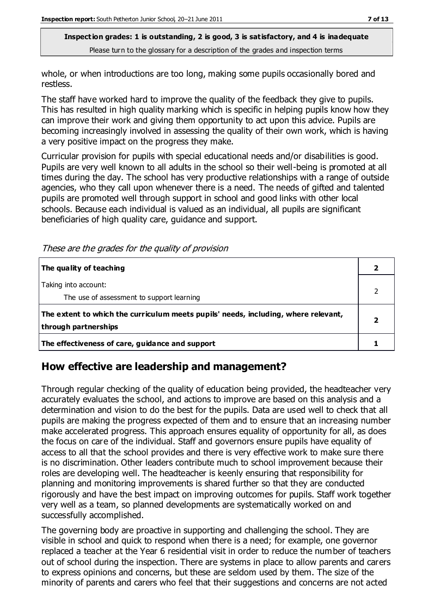whole, or when introductions are too long, making some pupils occasionally bored and restless.

The staff have worked hard to improve the quality of the feedback they give to pupils. This has resulted in high quality marking which is specific in helping pupils know how they can improve their work and giving them opportunity to act upon this advice. Pupils are becoming increasingly involved in assessing the quality of their own work, which is having a very positive impact on the progress they make.

Curricular provision for pupils with special educational needs and/or disabilities is good. Pupils are very well known to all adults in the school so their well-being is promoted at all times during the day. The school has very productive relationships with a range of outside agencies, who they call upon whenever there is a need. The needs of gifted and talented pupils are promoted well through support in school and good links with other local schools. Because each individual is valued as an individual, all pupils are significant beneficiaries of high quality care, guidance and support.

These are the grades for the quality of provision

| The quality of teaching                                                                                    |  |
|------------------------------------------------------------------------------------------------------------|--|
| Taking into account:<br>The use of assessment to support learning                                          |  |
| The extent to which the curriculum meets pupils' needs, including, where relevant,<br>through partnerships |  |
| The effectiveness of care, guidance and support                                                            |  |

# **How effective are leadership and management?**

Through regular checking of the quality of education being provided, the headteacher very accurately evaluates the school, and actions to improve are based on this analysis and a determination and vision to do the best for the pupils. Data are used well to check that all pupils are making the progress expected of them and to ensure that an increasing number make accelerated progress. This approach ensures equality of opportunity for all, as does the focus on care of the individual. Staff and governors ensure pupils have equality of access to all that the school provides and there is very effective work to make sure there is no discrimination. Other leaders contribute much to school improvement because their roles are developing well. The headteacher is keenly ensuring that responsibility for planning and monitoring improvements is shared further so that they are conducted rigorously and have the best impact on improving outcomes for pupils. Staff work together very well as a team, so planned developments are systematically worked on and successfully accomplished.

The governing body are proactive in supporting and challenging the school. They are visible in school and quick to respond when there is a need; for example, one governor replaced a teacher at the Year 6 residential visit in order to reduce the number of teachers out of school during the inspection. There are systems in place to allow parents and carers to express opinions and concerns, but these are seldom used by them. The size of the minority of parents and carers who feel that their suggestions and concerns are not acted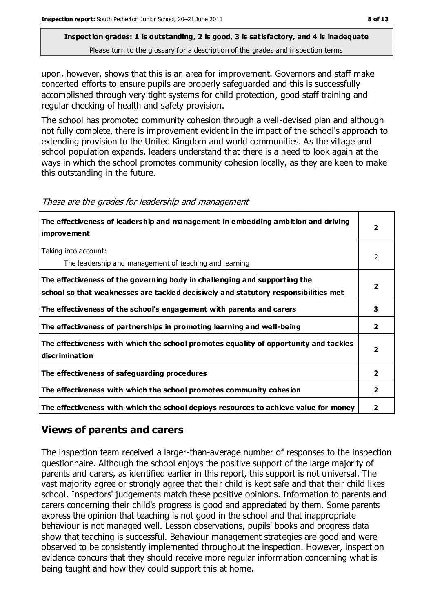upon, however, shows that this is an area for improvement. Governors and staff make concerted efforts to ensure pupils are properly safeguarded and this is successfully accomplished through very tight systems for child protection, good staff training and regular checking of health and safety provision.

The school has promoted community cohesion through a well-devised plan and although not fully complete, there is improvement evident in the impact of the school's approach to extending provision to the United Kingdom and world communities. As the village and school population expands, leaders understand that there is a need to look again at the ways in which the school promotes community cohesion locally, as they are keen to make this outstanding in the future.

| The effectiveness of leadership and management in embedding ambition and driving<br><i>improvement</i>                                                           |                |
|------------------------------------------------------------------------------------------------------------------------------------------------------------------|----------------|
| Taking into account:<br>The leadership and management of teaching and learning                                                                                   | 2              |
| The effectiveness of the governing body in challenging and supporting the<br>school so that weaknesses are tackled decisively and statutory responsibilities met |                |
| The effectiveness of the school's engagement with parents and carers                                                                                             | 3              |
| The effectiveness of partnerships in promoting learning and well-being                                                                                           | $\overline{2}$ |
| The effectiveness with which the school promotes equality of opportunity and tackles<br>discrimination                                                           | 2              |
| The effectiveness of safeguarding procedures                                                                                                                     | $\overline{2}$ |
| The effectiveness with which the school promotes community cohesion                                                                                              | $\overline{2}$ |
| The effectiveness with which the school deploys resources to achieve value for money                                                                             | 2              |

These are the grades for leadership and management

# **Views of parents and carers**

The inspection team received a larger-than-average number of responses to the inspection questionnaire. Although the school enjoys the positive support of the large majority of parents and carers, as identified earlier in this report, this support is not universal. The vast majority agree or strongly agree that their child is kept safe and that their child likes school. Inspectors' judgements match these positive opinions. Information to parents and carers concerning their child's progress is good and appreciated by them. Some parents express the opinion that teaching is not good in the school and that inappropriate behaviour is not managed well. Lesson observations, pupils' books and progress data show that teaching is successful. Behaviour management strategies are good and were observed to be consistently implemented throughout the inspection. However, inspection evidence concurs that they should receive more regular information concerning what is being taught and how they could support this at home.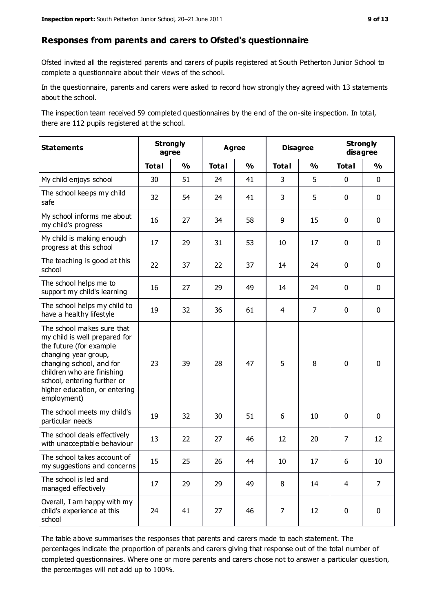#### **Responses from parents and carers to Ofsted's questionnaire**

Ofsted invited all the registered parents and carers of pupils registered at South Petherton Junior School to complete a questionnaire about their views of the school.

In the questionnaire, parents and carers were asked to record how strongly they agreed with 13 statements about the school.

The inspection team received 59 completed questionnaires by the end of the on-site inspection. In total, there are 112 pupils registered at the school.

| <b>Statements</b>                                                                                                                                                                                                                                       | <b>Strongly</b><br>agree |               | <b>Agree</b> |               | <b>Disagree</b> |                | <b>Strongly</b><br>disagree |                |
|---------------------------------------------------------------------------------------------------------------------------------------------------------------------------------------------------------------------------------------------------------|--------------------------|---------------|--------------|---------------|-----------------|----------------|-----------------------------|----------------|
|                                                                                                                                                                                                                                                         | <b>Total</b>             | $\frac{0}{0}$ | <b>Total</b> | $\frac{0}{0}$ | <b>Total</b>    | $\frac{0}{0}$  | <b>Total</b>                | $\frac{0}{0}$  |
| My child enjoys school                                                                                                                                                                                                                                  | 30                       | 51            | 24           | 41            | 3               | 5              | 0                           | $\mathbf 0$    |
| The school keeps my child<br>safe                                                                                                                                                                                                                       | 32                       | 54            | 24           | 41            | 3               | 5              | $\mathbf 0$                 | $\mathbf 0$    |
| My school informs me about<br>my child's progress                                                                                                                                                                                                       | 16                       | 27            | 34           | 58            | 9               | 15             | $\mathbf 0$                 | $\mathbf 0$    |
| My child is making enough<br>progress at this school                                                                                                                                                                                                    | 17                       | 29            | 31           | 53            | 10              | 17             | $\mathbf 0$                 | $\mathbf 0$    |
| The teaching is good at this<br>school                                                                                                                                                                                                                  | 22                       | 37            | 22           | 37            | 14              | 24             | $\mathbf 0$                 | $\mathbf 0$    |
| The school helps me to<br>support my child's learning                                                                                                                                                                                                   | 16                       | 27            | 29           | 49            | 14              | 24             | $\mathbf 0$                 | $\mathbf 0$    |
| The school helps my child to<br>have a healthy lifestyle                                                                                                                                                                                                | 19                       | 32            | 36           | 61            | 4               | $\overline{7}$ | $\mathbf 0$                 | $\mathbf 0$    |
| The school makes sure that<br>my child is well prepared for<br>the future (for example<br>changing year group,<br>changing school, and for<br>children who are finishing<br>school, entering further or<br>higher education, or entering<br>employment) | 23                       | 39            | 28           | 47            | 5               | 8              | $\mathbf 0$                 | $\mathbf 0$    |
| The school meets my child's<br>particular needs                                                                                                                                                                                                         | 19                       | 32            | 30           | 51            | 6               | 10             | $\mathbf 0$                 | $\mathbf 0$    |
| The school deals effectively<br>with unacceptable behaviour                                                                                                                                                                                             | 13                       | 22            | 27           | 46            | 12              | 20             | $\overline{7}$              | 12             |
| The school takes account of<br>my suggestions and concerns                                                                                                                                                                                              | 15                       | 25            | 26           | 44            | 10              | 17             | 6                           | 10             |
| The school is led and<br>managed effectively                                                                                                                                                                                                            | 17                       | 29            | 29           | 49            | 8               | 14             | $\overline{4}$              | $\overline{7}$ |
| Overall, I am happy with my<br>child's experience at this<br>school                                                                                                                                                                                     | 24                       | 41            | 27           | 46            | $\overline{7}$  | 12             | $\pmb{0}$                   | $\pmb{0}$      |

The table above summarises the responses that parents and carers made to each statement. The percentages indicate the proportion of parents and carers giving that response out of the total number of completed questionnaires. Where one or more parents and carers chose not to answer a particular question, the percentages will not add up to 100%.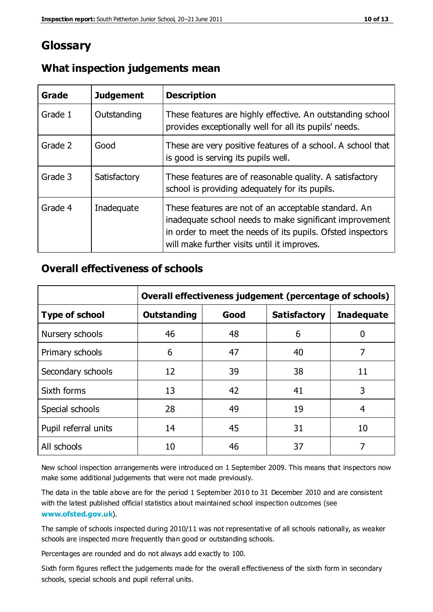# **Glossary**

| Grade   | <b>Judgement</b> | <b>Description</b>                                                                                                                                                                                                            |
|---------|------------------|-------------------------------------------------------------------------------------------------------------------------------------------------------------------------------------------------------------------------------|
| Grade 1 | Outstanding      | These features are highly effective. An outstanding school<br>provides exceptionally well for all its pupils' needs.                                                                                                          |
| Grade 2 | Good             | These are very positive features of a school. A school that<br>is good is serving its pupils well.                                                                                                                            |
| Grade 3 | Satisfactory     | These features are of reasonable quality. A satisfactory<br>school is providing adequately for its pupils.                                                                                                                    |
| Grade 4 | Inadequate       | These features are not of an acceptable standard. An<br>inadequate school needs to make significant improvement<br>in order to meet the needs of its pupils. Ofsted inspectors<br>will make further visits until it improves. |

## **What inspection judgements mean**

## **Overall effectiveness of schools**

|                       | Overall effectiveness judgement (percentage of schools)                |    |    |    |
|-----------------------|------------------------------------------------------------------------|----|----|----|
| <b>Type of school</b> | Good<br><b>Outstanding</b><br><b>Satisfactory</b><br><b>Inadequate</b> |    |    |    |
| Nursery schools       | 46                                                                     | 48 | 6  |    |
| Primary schools       | 6                                                                      | 47 | 40 | 7  |
| Secondary schools     | 12                                                                     | 39 | 38 | 11 |
| Sixth forms           | 13                                                                     | 42 | 41 | 3  |
| Special schools       | 28                                                                     | 49 | 19 | 4  |
| Pupil referral units  | 14                                                                     | 45 | 31 | 10 |
| All schools           | 10                                                                     | 46 | 37 |    |

New school inspection arrangements were introduced on 1 September 2009. This means that inspectors now make some additional judgements that were not made previously.

The data in the table above are for the period 1 September 2010 to 31 December 2010 and are consistent with the latest published official statistics about maintained school inspection outcomes (see **[www.ofsted.gov.uk](http://www.ofsted.gov.uk/)**).

The sample of schools inspected during 2010/11 was not representative of all schools nationally, as weaker schools are inspected more frequently than good or outstanding schools.

Percentages are rounded and do not always add exactly to 100.

Sixth form figures reflect the judgements made for the overall effectiveness of the sixth form in secondary schools, special schools and pupil referral units.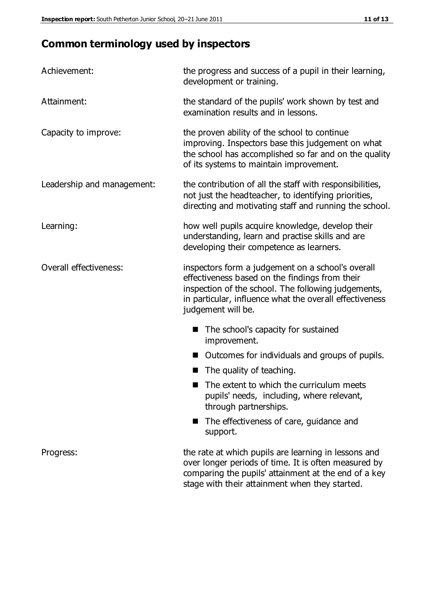# **Common terminology used by inspectors**

| Achievement:                  | the progress and success of a pupil in their learning,<br>development or training.                                                                                                                                                          |  |  |
|-------------------------------|---------------------------------------------------------------------------------------------------------------------------------------------------------------------------------------------------------------------------------------------|--|--|
| Attainment:                   | the standard of the pupils' work shown by test and<br>examination results and in lessons.                                                                                                                                                   |  |  |
| Capacity to improve:          | the proven ability of the school to continue<br>improving. Inspectors base this judgement on what<br>the school has accomplished so far and on the quality<br>of its systems to maintain improvement.                                       |  |  |
| Leadership and management:    | the contribution of all the staff with responsibilities,<br>not just the headteacher, to identifying priorities,<br>directing and motivating staff and running the school.                                                                  |  |  |
| Learning:                     | how well pupils acquire knowledge, develop their<br>understanding, learn and practise skills and are<br>developing their competence as learners.                                                                                            |  |  |
| <b>Overall effectiveness:</b> | inspectors form a judgement on a school's overall<br>effectiveness based on the findings from their<br>inspection of the school. The following judgements,<br>in particular, influence what the overall effectiveness<br>judgement will be. |  |  |
|                               | The school's capacity for sustained<br>improvement.                                                                                                                                                                                         |  |  |
|                               | Outcomes for individuals and groups of pupils.                                                                                                                                                                                              |  |  |
|                               | The quality of teaching.                                                                                                                                                                                                                    |  |  |
|                               | The extent to which the curriculum meets<br>pupils' needs, including, where relevant,<br>through partnerships.                                                                                                                              |  |  |
|                               | The effectiveness of care, guidance and<br>support.                                                                                                                                                                                         |  |  |
| Progress:                     | the rate at which pupils are learning in lessons and<br>over longer periods of time. It is often measured by<br>comparing the pupils' attainment at the end of a key                                                                        |  |  |

stage with their attainment when they started.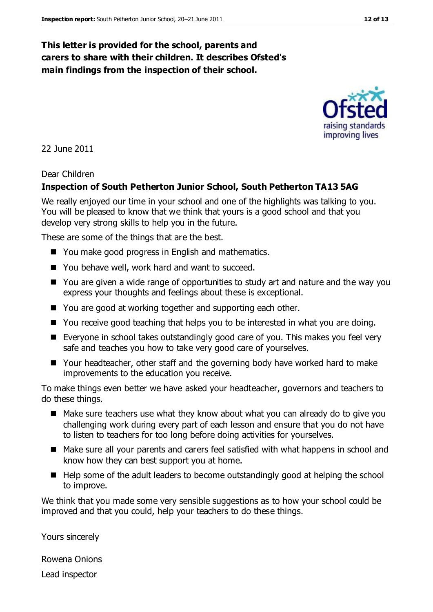## **This letter is provided for the school, parents and carers to share with their children. It describes Ofsted's main findings from the inspection of their school.**

22 June 2011

#### Dear Children

#### **Inspection of South Petherton Junior School, South Petherton TA13 5AG**

We really enjoyed our time in your school and one of the highlights was talking to you. You will be pleased to know that we think that yours is a good school and that you develop very strong skills to help you in the future.

These are some of the things that are the best.

- You make good progress in English and mathematics.
- You behave well, work hard and want to succeed.
- You are given a wide range of opportunities to study art and nature and the way you express your thoughts and feelings about these is exceptional.
- You are good at working together and supporting each other.
- You receive good teaching that helps you to be interested in what you are doing.
- Everyone in school takes outstandingly good care of you. This makes you feel very safe and teaches you how to take very good care of yourselves.
- Your headteacher, other staff and the governing body have worked hard to make improvements to the education you receive.

To make things even better we have asked your headteacher, governors and teachers to do these things.

- Make sure teachers use what they know about what you can already do to give you challenging work during every part of each lesson and ensure that you do not have to listen to teachers for too long before doing activities for yourselves.
- Make sure all your parents and carers feel satisfied with what happens in school and know how they can best support you at home.
- $\blacksquare$  Help some of the adult leaders to become outstandingly good at helping the school to improve.

We think that you made some very sensible suggestions as to how your school could be improved and that you could, help your teachers to do these things.

Yours sincerely

Rowena Onions Lead inspector